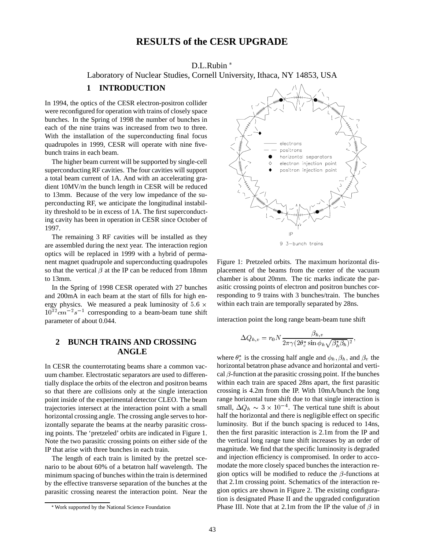# **RESULTS of the CESR UPGRADE**

#### D.L.Rubin

Laboratory of Nuclear Studies, Cornell University, Ithaca, NY 14853, USA

#### **1 INTRODUCTION**

In 1994, the optics of the CESR electron-positron collider were reconfigured for operation with trains of closely space bunches. In the Spring of 1998 the number of bunches in each of the nine trains was increased from two to three. With the installation of the superconducting final focus quadrupoles in 1999, CESR will operate with nine fivebunch trains in each beam.

The higher beam current will be supported by single-cell superconducting RF cavities. The four cavities will support a total beam current of 1A. And with an accelerating gradient 10MV/m the bunch length in CESR will be reduced to 13mm. Because of the very low impedance of the superconducting RF, we anticipate the longitudinal instability threshold to be in excess of 1A. The first superconducting cavity has been in operation in CESR since October of 1997.

The remaining 3 RF cavities will be installed as they are assembled during the next year. The interaction region optics will be replaced in 1999 with a hybrid of permanent magnet quadrupole and superconducting quadrupoles so that the vertical  $\beta$  at the IP can be reduced from 18mm to 13mm.

In the Spring of 1998 CESR operated with 27 bunches and 200mA in each beam at the start of fills for high energy physics. We measured a peak luminosity of 5.6  $\times$  $10^{32}$ cm<sup>-2</sup>s<sup>-1</sup> corresponding to a beam-beam tune shift parameter of about 0.044.

# **2 BUNCH TRAINS AND CROSSING ANGLE**

In CESR the counterrotating beams share a common vacuum chamber. Electrostatic separators are used to differentially displace the orbits of the electron and positron beams so that there are collisions only at the single interaction point inside of the experimental detector CLEO. The beam trajectories intersect at the interaction point with a small horizontal crossing angle. The crossing angle serves to horizontally separate the beams at the nearby parasitic crossing points. The 'pretzeled' orbits are indicated in Figure 1. Note the two parasitic crossing points on either side of the IP that arise with three bunches in each train.

The length of each train is limited by the pretzel scenario to be about 60% of a betatron half wavelength. The minimum spacing of bunches within the train is determined by the effective transverse separation of the bunches at the parasitic crossing nearest the interaction point. Near the



Figure 1: Pretzeled orbits. The maximum horizontal dis-

 within each train are temporally separated by 28ns. placement of the beams from the center of the vacuum chamber is about 20mm. The tic marks indicate the parasitic crossing points of electron and positron bunches corresponding to 9 trains with 3 bunches/train. The bunches

interaction point the long range beam-beam tune shift

$$
\Delta Q_{h,v} = r_0 N \frac{\beta_{h,v}}{2\pi \gamma (2\theta_c^* \sin \phi_h \sqrt{\beta_h^* \beta_h})^2},
$$

;

where  $\theta_c^*$  is the crossing half angle and  $\phi_h$ ,  $\beta_h$ , and  $\beta_v$  the horizontal betatron phase advance and horizontal and vertical  $\beta$ -function at the parasitic crossing point. If the bunches within each train are spaced 28ns apart, the first parasitic crossing is 4.2m from the IP. With 10mA/bunch the long range horizontal tune shift due to that single interaction is small,  $\Delta Q_h \sim 3 \times 10^{-4}$ . The vertical tune shift is about half the horizontal and there is negligible effect on specific luminosity. But if the bunch spacing is reduced to 14ns, then the first parasitic interaction is 2.1m from the IP and the vertical long range tune shift increases by an order of magnitude. We find that the specific luminosity is degraded and injection efficiency is compromised. In order to accomodate the more closely spaced bunches the interaction region optics will be modified to reduce the  $\beta$ -functions at that 2.1m crossing point. Schematics of the interaction region optics are shown in Figure 2. The existing configuration is designated Phase II and the upgraded configuration Phase III. Note that at 2.1m from the IP the value of  $\beta$  in

Work supported by the National Science Foundation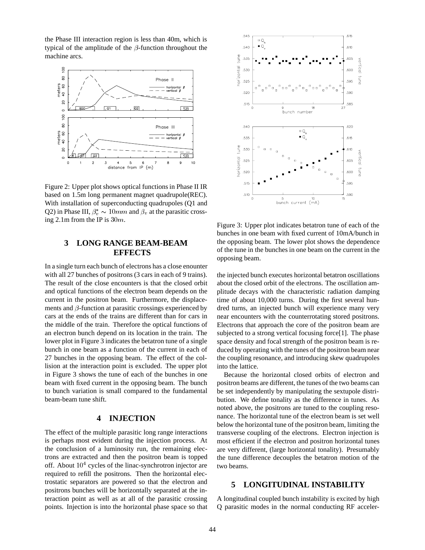the Phase III interaction region is less than 40m, which is typical of the amplitude of the  $\beta$ -function throughout the machine arcs.



Figure 2: Upper plot shows optical functions in Phase II IR based on 1.5m long permanent magnet quadrupole(REC). With installation of superconducting quadrupoles (Q1 and Q2) in Phase III,  $\beta_v^* \sim 10 \, mm$  and  $\beta_v$  at the parasitic crossing 2.1m from the IP is  $30m$ .

### **3 LONG RANGE BEAM-BEAM EFFECTS**

In a single turn each bunch of electrons has a close enounter with all 27 bunches of positrons (3 cars in each of 9 trains). The result of the close encounters is that the closed orbit and optical functions of the electron beam depends on the current in the positron beam. Furthermore, the displacements and  $\beta$ -function at parasitic crossings experienced by cars at the ends of the trains are different than for cars in the middle of the train. Therefore the optical functions of an electron bunch depend on its location in the train. The lower plot in Figure 3 indicates the betatron tune of a single bunch in one beam as a function of the current in each of 27 bunches in the opposing beam. The effect of the collision at the interaction point is excluded. The upper plot in Figure 3 shows the tune of each of the bunches in one beam with fixed current in the opposing beam. The bunch to bunch variation is small compared to the fundamental beam-beam tune shift.

## **4 INJECTION**

The effect of the multiple parasitic long range interactions is perhaps most evident during the injection process. At the conclusion of a luminosity run, the remaining electrons are extracted and then the positron beam is topped off. About  $10<sup>4</sup>$  cycles of the linac-synchrotron injector are required to refill the positrons. Then the horizontal electrostatic separators are powered so that the electron and positrons bunches will be horizontally separated at the interaction point as well as at all of the parasitic crossing points. Injection is into the horizontal phase space so that



Figure 3: Upper plot indicates betatron tune of each of the bunches in one beam with fixed current of 10mA/bunch in the opposing beam. The lower plot shows the dependence of the tune in the bunches in one beam on the current in the opposing beam.

the injected bunch executes horizontal betatron oscillations about the closed orbit of the electrons. The oscillation amplitude decays with the characteristic radiation damping time of about 10,000 turns. During the first several hundred turns, an injected bunch will experience many very near encounters with the counterrotating stored positrons. Electrons that approach the core of the positron beam are subjected to a strong vertical focusing force[1]. The phase space density and focal strength of the positron beam is reduced by operating with the tunes of the positron beam near the coupling resonance, and introducing skew quadrupoles into the lattice.

Because the horizontal closed orbits of electron and positron beams are different, the tunes of the two beams can be set independently by manipulating the sextupole distribution. We define tonality as the difference in tunes. As noted above, the positrons are tuned to the coupling resonance. The horizontal tune of the electron beam is set well below the horizontal tune of the positron beam, limiting the transverse coupling of the electrons. Electron injection is most efficient if the electron and positron horizontal tunes are very different, (large horizontal tonality). Presumably the tune difference decouples the betatron motion of the two beams.

### **5 LONGITUDINAL INSTABILITY**

A longitudinal coupled bunch instability is excited by high Q parasitic modes in the normal conducting RF acceler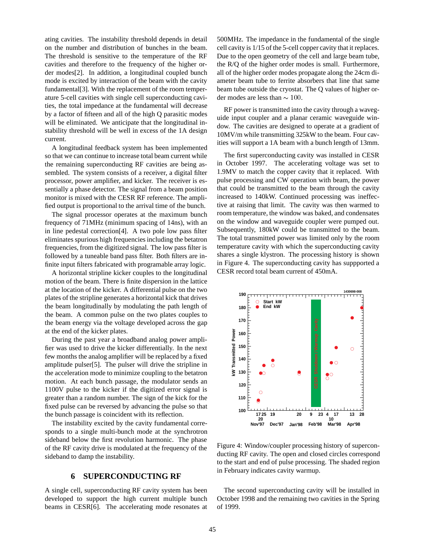ating cavities. The instability threshold depends in detail on the number and distribution of bunches in the beam. The threshold is sensitive to the temperature of the RF cavities and therefore to the frequency of the higher order modes[2]. In addition, a longitudinal coupled bunch mode is excited by interaction of the beam with the cavity fundamental[3]. With the replacement of the room temperature 5-cell cavities with single cell superconducting cavities, the total impedance at the fundamental will decrease by a factor of fifteen and all of the high Q parasitic modes will be eliminated. We anticipate that the longitudinal instability threshold will be well in excess of the 1A design current.

A longitudinal feedback system has been implemented so that we can continue to increase total beam current while the remaining superconducting RF cavities are being assembled. The system consists of a receiver, a digital filter processor, power amplifier, and kicker. The receiver is essentially a phase detector. The signal from a beam position monitor is mixed with the CESR RF reference. The amplified output is proportional to the arrival time of the bunch.

The signal processor operates at the maximum bunch frequency of 71MHz (minimum spacing of 14ns), with an in line pedestal correction[4]. A two pole low pass filter eliminates spurious high frequencies including the betatron frequencies, from the digitized signal. The low pass filter is followed by a tuneable band pass filter. Both filters are infinite input filters fabricated with programable array logic.

A horizontal stripline kicker couples to the longitudinal motion of the beam. There is finite dispersion in the lattice at the location of the kicker. A differential pulse on the two plates of the stripline generates a horizontal kick that drives the beam longitudinally by modulating the path length of the beam. A common pulse on the two plates couples to the beam energy via the voltage developed across the gap at the end of the kicker plates.

During the past year a broadband analog power amplifier was used to drive the kicker differentially. In the next few months the analog amplifier will be replaced by a fixed amplitude pulser[5]. The pulser will drive the stripline in the acceleration mode to minimize coupling to the betatron motion. At each bunch passage, the modulator sends an 1100V pulse to the kicker if the digitized error signal is greater than a random number. The sign of the kick for the fixed pulse can be reversed by advancing the pulse so that the bunch passage is coincident with its reflection.

The instability excited by the cavity fundamental corresponds to a single multi-bunch mode at the synchrotron sideband below the first revolution harmonic. The phase of the RF cavity drive is modulated at the frequency of the sideband to damp the instability.

#### **6 SUPERCONDUCTING RF**

A single cell, superconducting RF cavity system has been developed to support the high current multiple bunch beams in CESR[6]. The accelerating mode resonates at 500MHz. The impedance in the fundamental of the single cell cavity is 1/15 of the 5-cell copper cavity that it replaces. Due to the open geometry of the cell and large beam tube, the R/Q of the higher order modes is small. Furthermore, all of the higher order modes propagate along the 24cm diameter beam tube to ferrite absorbers that line that same beam tube outside the cryostat. The Q values of higher order modes are less than  $\sim 100$ .

RF power is transmitted into the cavity through a waveguide input coupler and a planar ceramic waveguide window. The cavities are designed to operate at a gradient of 10MV/m while transmitting 325kW to the beam. Four cavities will support a 1A beam with a bunch length of 13mm.

The first superconducting cavity was installed in CESR in October 1997. The accelerating voltage was set to 1.9MV to match the copper cavity that it replaced. With pulse processing and CW operation with beam, the power that could be transmitted to the beam through the cavity increased to 140kW. Continued processing was ineffective at raising that limit. The cavity was then warmed to room temperature, the window was baked, and condensates on the window and waveguide coupler were pumped out. Subsequently, 180kW could be transmitted to the beam. The total transmitted power was limited only by the room temperature cavity with which the superconducting cavity shares a single klystron. The processing history is shown in Figure 4. The superconducting cavity has suppported a CESR record total beam current of 450mA.



Figure 4: Window/coupler processing history of superconducting RF cavity. The open and closed circles correspond to the start and end of pulse processing. The shaded region in February indicates cavity warmup.

The second superconducting cavity will be installed in October 1998 and the remaining two cavities in the Spring of 1999.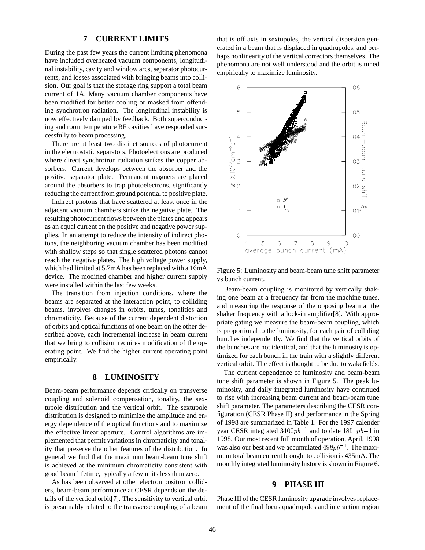#### **7 CURRENT LIMITS**

During the past few years the current limiting phenomona have included overheated vacuum components, longitudinal instability, cavity and window arcs, separator photocurrents, and losses associated with bringing beams into collision. Our goal is that the storage ring support a total beam current of 1A. Many vacuum chamber components have been modified for better cooling or masked from offending synchrotron radiation. The longitudinal instability is now effectively damped by feedback. Both superconducting and room temperature RF cavities have responded successfully to beam processing.

There are at least two distinct sources of photocurrent in the electrostatic separators. Photoelectrons are produced where direct synchrotron radiation strikes the copper absorbers. Current develops between the absorber and the positive separator plate. Permanent magnets are placed around the absorbers to trap photoelectrons, significantly reducing the current from ground potential to positive plate.

Indirect photons that have scattered at least once in the adjacent vacuum chambers strike the negative plate. The resulting photocurrent flows between the plates and appears as an equal current on the positive and negative power supplies. In an attempt to reduce the intensity of indirect photons, the neighboring vacuum chamber has been modified with shallow steps so that single scattered photons cannot reach the negative plates. The high voltage power supply, which had limited at 5.7mA has been replaced with a 16mA device. The modified chamber and higher current supply were installed within the last few weeks.

The transition from injection conditions, where the beams are separated at the interaction point, to colliding beams, involves changes in orbits, tunes, tonalities and chromaticity. Because of the current dependent distortion of orbits and optical functions of one beam on the other described above, each incremental increase in beam current that we bring to collision requires modification of the operating point. We find the higher current operating point empirically.

## **8 LUMINOSITY**

Beam-beam performance depends critically on transverse coupling and solenoid compensation, tonality, the sextupole distribution and the vertical orbit. The sextupole distribution is designed to minimize the amplitude and energy dependence of the optical functions and to maximize the effective linear aperture. Control algorithms are implemented that permit variations in chromaticity and tonality that preserve the other features of the distribution. In general we find that the maximum beam-beam tune shift is achieved at the minimum chromaticity consistent with good beam lifetime, typically a few units less than zero.

As has been observed at other electron positron colliders, beam-beam performance at CESR depends on the details of the vertical orbit[7]. The sensitivity to vertical orbit is presumably related to the transverse coupling of a beam

that is off axis in sextupoles, the vertical dispersion generated in a beam that is displaced in quadrupoles, and perhaps nonlinearity of the vertical correctors themselves. The phenomona are not well understood and the orbit is tuned empirically to maximize luminosity.



Figure 5: Luminosity and beam-beam tune shift parameter vs bunch current.

Beam-beam coupling is monitored by vertically shaking one beam at a frequency far from the machine tunes, and measuring the response of the opposing beam at the shaker frequency with a lock-in amplifier[8]. With appropriate gating we measure the beam-beam coupling, which is proportional to the luminosity, for each pair of colliding bunches independently. We find that the vertical orbits of the bunches are not identical, and that the luminosity is optimized for each bunch in the train with a slightly different vertical orbit. The effect is thought to be due to wakefields.

The current dependence of luminosity and beam-beam tune shift parameter is shown in Figure 5. The peak luminosity, and daily integrated luminosity have continued to rise with increasing beam current and beam-beam tune shift parameter. The parameters describing the CESR configuration (CESR Phase II) and performance in the Spring of 1998 are summarized in Table 1. For the 1997 calender year CESR integrated  $3400pb^{-1}$  and to date  $1851pb-1$  in 1998. Our most recent full month of operation, April, 1998 was also our best and we accumulated  $498pb^{-1}$ . The maximum total beam current brought to collision is 435mA. The monthly integrated luminosity history is shown in Figure 6.

#### **9 PHASE III**

Phase III of the CESR luminosity upgrade involves replacement of the final focus quadrupoles and interaction region